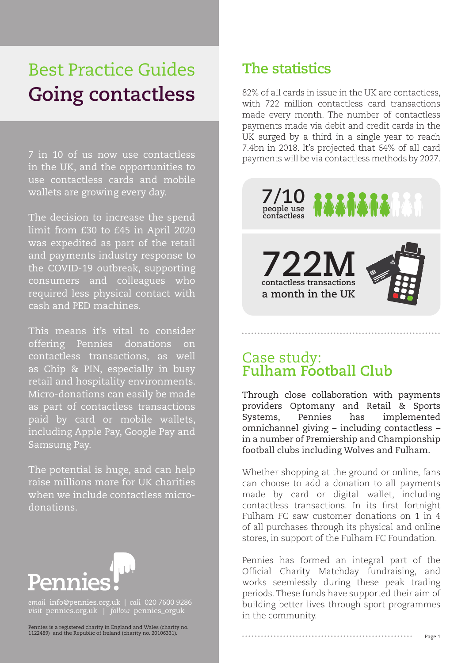# Best Practice Guides **Going contactless**

7 in 10 of us now use contactless in the UK, and the opportunities to use contactless cards and mobile wallets are growing every day.

The decision to increase the spend limit from £30 to £45 in April 2020 was expedited as part of the retail and payments industry response to the COVID-19 outbreak, supporting consumers and colleagues who required less physical contact with cash and PED machines.

This means it's vital to consider offering Pennies donations on contactless transactions, as well as Chip & PIN, especially in busy retail and hospitality environments. Micro-donations can easily be made as part of contactless transactions paid by card or mobile wallets, including Apple Pay, Google Pay and Samsung Pay.

The potential is huge, and can help raise millions more for UK charities when we include contactless microdonations.



*email* info@pennies.org.uk | *call* 020 7600 9286 *visit* pennies.org.uk | *follow* pennies\_orguk

Pennies is a registered charity in England and Wales (charity no. 1122489) and the Republic of Ireland (charity no. 20106331).

## **The statistics**

82% of all cards in issue in the UK are contactless, with 722 million contactless card transactions made every month. The number of contactless payments made via debit and credit cards in the UK surged by a third in a single year to reach 7.4bn in 2018. It's projected that 64% of all card payments will be via contactless methods by 2027.



#### Case study: **Fulham Football Club**

Through close collaboration with payments providers Optomany and Retail & Sports Systems, Pennies has implemented omnichannel giving – including contactless – in a number of Premiership and Championship football clubs including Wolves and Fulham.

Whether shopping at the ground or online, fans can choose to add a donation to all payments made by card or digital wallet, including contactless transactions. In its first fortnight Fulham FC saw customer donations on 1 in 4 of all purchases through its physical and online stores, in support of the Fulham FC Foundation.

Pennies has formed an integral part of the Official Charity Matchday fundraising, and works seemlessly during these peak trading periods. These funds have supported their aim of building better lives through sport programmes in the community.